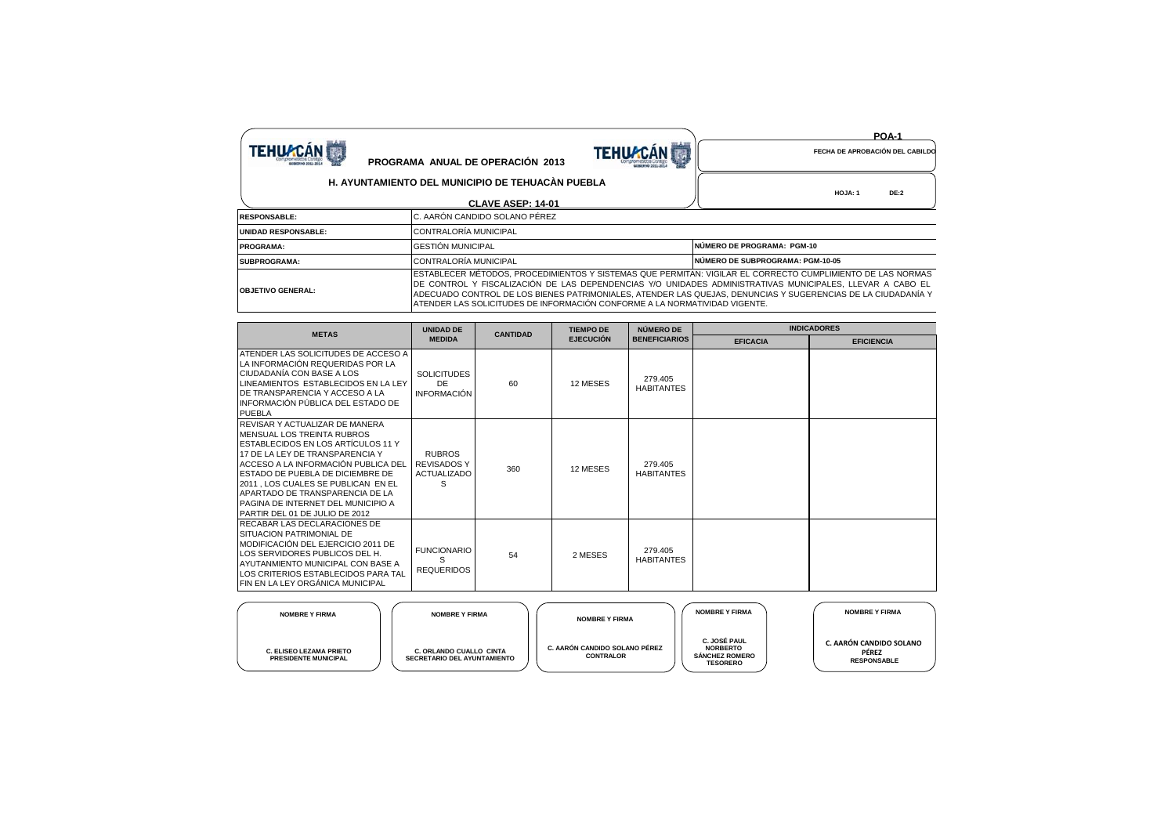|                            |                                                                                                                                                                                                                                                                                                                                                                                                                        | <b>POA-1</b>                            |
|----------------------------|------------------------------------------------------------------------------------------------------------------------------------------------------------------------------------------------------------------------------------------------------------------------------------------------------------------------------------------------------------------------------------------------------------------------|-----------------------------------------|
| <b>TEHUACÁN</b>            | <b>TEHUACAN</b><br>PROGRAMA ANUAL DE OPERACIÓN 2013                                                                                                                                                                                                                                                                                                                                                                    | FECHA DE APROBACIÓN DEL CABILDO         |
|                            | H. AYUNTAMIENTO DEL MUNICIPIO DE TEHUACÀN PUEBLA                                                                                                                                                                                                                                                                                                                                                                       | HOJA: 1<br><b>DE:2</b>                  |
|                            | CLAVE ASEP: 14-01                                                                                                                                                                                                                                                                                                                                                                                                      |                                         |
| <b>RESPONSABLE:</b>        | IC. AARÓN CANDIDO SOLANO PÉREZ                                                                                                                                                                                                                                                                                                                                                                                         |                                         |
| <b>UNIDAD RESPONSABLE:</b> | CONTRALORÍA MUNICIPAL                                                                                                                                                                                                                                                                                                                                                                                                  |                                         |
| <b>PROGRAMA:</b>           | <b>GESTIÓN MUNICIPAL</b>                                                                                                                                                                                                                                                                                                                                                                                               | NÚMERO DE PROGRAMA: PGM-10              |
| <b>SUBPROGRAMA:</b>        | CONTRALORÍA MUNICIPAL                                                                                                                                                                                                                                                                                                                                                                                                  | <b>NÚMERO DE SUBPROGRAMA: PGM-10-05</b> |
| <b>OBJETIVO GENERAL:</b>   | IESTABLECER MÉTODOS. PROCEDIMIENTOS Y SISTEMAS QUE PERMITAN: VIGILAR EL CORRECTO CUMPLIMIENTO DE LAS NORMAS<br>DE CONTROL Y FISCALIZACIÓN DE LAS DEPENDENCIAS Y/O UNIDADES ADMINISTRATIVAS MUNICIPALES, LLEVAR A CABO EL<br>ADECUADO CONTROL DE LOS BIENES PATRIMONIALES, ATENDER LAS QUEJAS, DENUNCIAS Y SUGERENCIAS DE LA CIUDADANÍA Y<br>ATENDER LAS SOLICITUDES DE INFORMACIÓN CONFORME A LA NORMATIVIDAD VIGENTE. |                                         |

| <b>METAS</b>                                                                                                                                                                                                                                                                                                                                                      | <b>UNIDAD DE</b><br><b>MEDIDA</b>                              | <b>CANTIDAD</b> | <b>TIEMPO DE</b><br><b>EJECUCIÓN</b> | NÚMERO DE                    | <b>INDICADORES</b> |                   |  |
|-------------------------------------------------------------------------------------------------------------------------------------------------------------------------------------------------------------------------------------------------------------------------------------------------------------------------------------------------------------------|----------------------------------------------------------------|-----------------|--------------------------------------|------------------------------|--------------------|-------------------|--|
|                                                                                                                                                                                                                                                                                                                                                                   |                                                                |                 |                                      | <b>BENEFICIARIOS</b>         | <b>EFICACIA</b>    | <b>EFICIENCIA</b> |  |
| ATENDER LAS SOLICITUDES DE ACCESO A<br>LA INFORMACIÓN REQUERIDAS POR LA<br>CIUDADANÍA CON BASE A LOS<br>LINEAMIENTOS ESTABLECIDOS EN LA LEY<br><b>IDE TRANSPARENCIA Y ACCESO A LA</b><br>INFORMACIÓN PÚBLICA DEL ESTADO DE<br><b>PUEBLA</b>                                                                                                                       | <b>SOLICITUDES</b><br>DE.<br>INFORMACIÓN                       | 60              | 12 MESES                             | 279.405<br><b>HABITANTES</b> |                    |                   |  |
| REVISAR Y ACTUALIZAR DE MANERA<br>MENSUAL LOS TREINTA RUBROS<br>ESTABLECIDOS EN LOS ARTÍCULOS 11 Y<br>17 DE LA LEY DE TRANSPARENCIA Y<br>ACCESO A LA INFORMACIÓN PUBLICA DEL<br>ESTADO DE PUEBLA DE DICIEMBRE DE<br>2011, LOS CUALES SE PUBLICAN EN EL<br>APARTADO DE TRANSPARENCIA DE LA<br>PAGINA DE INTERNET DEL MUNICIPIO A<br>PARTIR DEL 01 DE JULIO DE 2012 | <b>RUBROS</b><br><b>REVISADOS Y</b><br><b>ACTUALIZADO</b><br>S | 360             | 12 MESES                             | 279.405<br><b>HABITANTES</b> |                    |                   |  |
| RECABAR LAS DECLARACIONES DE<br>SITUACION PATRIMONIAL DE<br>MODIFICACIÓN DEL EJERCICIO 2011 DE<br>LOS SERVIDORES PUBLICOS DEL H.<br>AYUTANMIENTO MUNICIPAL CON BASE A<br>LOS CRITERIOS ESTABLECIDOS PARA TAL<br>FIN EN LA LEY ORGÁNICA MUNICIPAL                                                                                                                  | <b>FUNCIONARIO</b><br><b>REQUERIDOS</b>                        | 54              | 2 MESES                              | 279.405<br><b>HABITANTES</b> |                    |                   |  |

| <b>NOMBRE Y FIRMA</b>                                         | <b>NOMBRE Y FIRMA</b>                                         | <b>NOMBRE Y FIRMA</b>                             | <b>NOMBRE Y FIRMA</b>                                                              | <b>NOMBRE Y FIRMA</b>                                  |
|---------------------------------------------------------------|---------------------------------------------------------------|---------------------------------------------------|------------------------------------------------------------------------------------|--------------------------------------------------------|
| <b>C. ELISEO LEZAMA PRIETO</b><br><b>PRESIDENTE MUNICIPAL</b> | C. ORLANDO CUALLO CINTA<br><b>SECRETARIO DEL AYUNTAMIENTO</b> | C. AARÓN CANDIDO SOLANO PÉREZ<br><b>CONTRALOR</b> | <b>C. JOSÉ PAUL</b><br><b>NORBERTO</b><br><b>SÁNCHEZ ROMERO</b><br><b>TESORERO</b> | C. AARÓN CANDIDO SOLANO<br>PÉREZ<br><b>RESPONSABLE</b> |